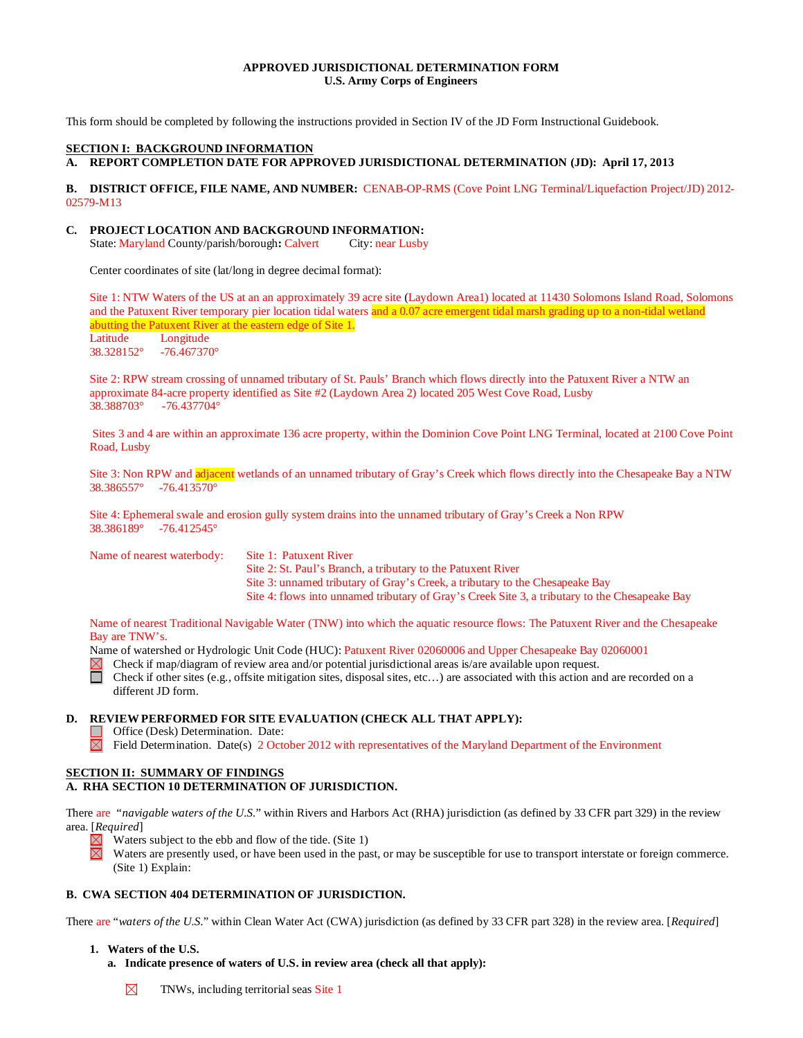### **APPROVED JURISDICTIONAL DETERMINATION FORM U.S. Army Corps of Engineers**

This form should be completed by following the instructions provided in Section IV of the JD Form Instructional Guidebook.

#### **SECTION I: BACKGROUND INFORMATION**

**A. REPORT COMPLETION DATE FOR APPROVED JURISDICTIONAL DETERMINATION (JD): April 17, 2013**

#### **B. DISTRICT OFFICE, FILE NAME, AND NUMBER:** CENAB-OP-RMS (Cove Point LNG Terminal/Liquefaction Project/JD) 2012- 02579-M13

#### **C. PROJECT LOCATION AND BACKGROUND INFORMATION:**

State: Maryland County/parish/borough: Calvert City: near Lusby

Center coordinates of site (lat/long in degree decimal format):

Site 1: NTW Waters of the US at an an approximately 39 acre site (Laydown Area1) located at 11430 Solomons Island Road, Solomons and the Patuxent River temporary pier location tidal waters and a 0.07 acre emergent tidal marsh grading up to a non-tidal wetland abutting the Patuxent River at the eastern edge of Site 1. Latitude Longitude

38.328152° -76.467370°

Site 2: RPW stream crossing of unnamed tributary of St. Pauls' Branch which flows directly into the Patuxent River a NTW an approximate 84-acre property identified as Site #2 (Laydown Area 2) located 205 West Cove Road, Lusby 38.388703° -76.437704°

Sites 3 and 4 are within an approximate 136 acre property, within the Dominion Cove Point LNG Terminal, located at 2100 Cove Point Road, Lusby

Site 3: Non RPW and adjacent wetlands of an unnamed tributary of Gray's Creek which flows directly into the Chesapeake Bay a NTW 38.386557° -76.413570°

Site 4: Ephemeral swale and erosion gully system drains into the unnamed tributary of Gray's Creek a Non RPW 38.386189° -76.412545°

Name of nearest waterbody: Site 1: Patuxent River Site 2: St. Paul's Branch, a tributary to the Patuxent River Site 3: unnamed tributary of Gray's Creek, a tributary to the Chesapeake Bay Site 4: flows into unnamed tributary of Gray's Creek Site 3, a tributary to the Chesapeake Bay

Name of nearest Traditional Navigable Water (TNW) into which the aquatic resource flows: The Patuxent River and the Chesapeake Bay are TNW's.

Name of watershed or Hydrologic Unit Code (HUC): Patuxent River 02060006 and Upper Chesapeake Bay 02060001

Check if map/diagram of review area and/or potential jurisdictional areas is/are available upon request.

Check if other sites (e.g., offsite mitigation sites, disposal sites, etc…) are associated with this action and are recorded on a different JD form.

#### **D. REVIEW PERFORMED FOR SITE EVALUATION (CHECK ALL THAT APPLY):**

 $\Box$ Office (Desk) Determination. Date:

 $\boxtimes$  Field Determination. Date(s) 2 October 2012 with representatives of the Maryland Department of the Environment

#### **SECTION II: SUMMARY OF FINDINGS A. RHA SECTION 10 DETERMINATION OF JURISDICTION.**

There are "*navigable waters of the U.S.*" within Rivers and Harbors Act (RHA) jurisdiction (as defined by 33 CFR part 329) in the review area. [*Required*]

 $\boxtimes$ Waters subject to the ebb and flow of the tide. (Site 1)

Waters are presently used, or have been used in the past, or may be susceptible for use to transport interstate or foreign commerce. (Site 1) Explain:

# **B. CWA SECTION 404 DETERMINATION OF JURISDICTION.**

There are "*waters of the U.S.*" within Clean Water Act (CWA) jurisdiction (as defined by 33 CFR part 328) in the review area. [*Required*]

## **1. Waters of the U.S.**

**a. Indicate presence of waters of U.S. in review area (check all that apply):**

⊠ TNWs, including territorial seas Site 1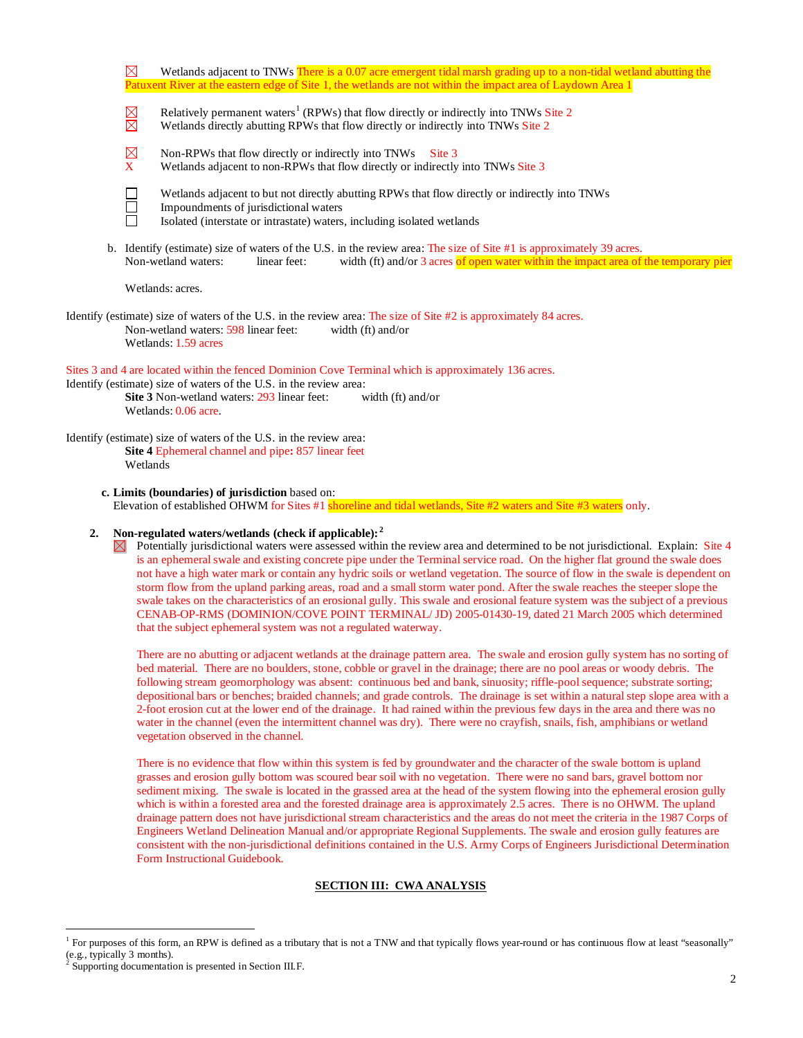|                                                                                                                                                                                                                                                                                                                                                                                                                                                                                                                                                                                                                                                                                                                                                                                                                                                                                                                           | Wetlands adjacent to TNWs There is a 0.07 acre emergent tidal marsh grading up to a non-tidal wetland abutting the<br>⊠<br>Patuxent River at the eastern edge of Site 1, the wetlands are not within the impact area of Laydown Area 1                                                                                                                                                                                                                                                                                                                                                                                                                                                                                                                                                                                        |  |  |  |
|---------------------------------------------------------------------------------------------------------------------------------------------------------------------------------------------------------------------------------------------------------------------------------------------------------------------------------------------------------------------------------------------------------------------------------------------------------------------------------------------------------------------------------------------------------------------------------------------------------------------------------------------------------------------------------------------------------------------------------------------------------------------------------------------------------------------------------------------------------------------------------------------------------------------------|-------------------------------------------------------------------------------------------------------------------------------------------------------------------------------------------------------------------------------------------------------------------------------------------------------------------------------------------------------------------------------------------------------------------------------------------------------------------------------------------------------------------------------------------------------------------------------------------------------------------------------------------------------------------------------------------------------------------------------------------------------------------------------------------------------------------------------|--|--|--|
|                                                                                                                                                                                                                                                                                                                                                                                                                                                                                                                                                                                                                                                                                                                                                                                                                                                                                                                           | Relatively permanent waters <sup>1</sup> (RPWs) that flow directly or indirectly into TNWs Site 2<br>$\boxtimes$<br>Wetlands directly abutting RPWs that flow directly or indirectly into TNWs Site 2                                                                                                                                                                                                                                                                                                                                                                                                                                                                                                                                                                                                                         |  |  |  |
|                                                                                                                                                                                                                                                                                                                                                                                                                                                                                                                                                                                                                                                                                                                                                                                                                                                                                                                           | $\boxtimes$<br>Non-RPWs that flow directly or indirectly into TNWs<br>Site 3<br>$\mathbf{X}$<br>Wetlands adjacent to non-RPWs that flow directly or indirectly into TNWs Site 3                                                                                                                                                                                                                                                                                                                                                                                                                                                                                                                                                                                                                                               |  |  |  |
|                                                                                                                                                                                                                                                                                                                                                                                                                                                                                                                                                                                                                                                                                                                                                                                                                                                                                                                           | Wetlands adjacent to but not directly abutting RPWs that flow directly or indirectly into TNWs<br>$\Box$<br>$\Box$<br>Impoundments of jurisdictional waters<br>Isolated (interstate or intrastate) waters, including isolated wetlands                                                                                                                                                                                                                                                                                                                                                                                                                                                                                                                                                                                        |  |  |  |
|                                                                                                                                                                                                                                                                                                                                                                                                                                                                                                                                                                                                                                                                                                                                                                                                                                                                                                                           | b. Identify (estimate) size of waters of the U.S. in the review area: The size of Site #1 is approximately 39 acres.<br>Non-wetland waters:<br>linear feet:<br>width (ft) and/or 3 acres of open water within the impact area of the temporary pier                                                                                                                                                                                                                                                                                                                                                                                                                                                                                                                                                                           |  |  |  |
|                                                                                                                                                                                                                                                                                                                                                                                                                                                                                                                                                                                                                                                                                                                                                                                                                                                                                                                           | Wetlands: acres.                                                                                                                                                                                                                                                                                                                                                                                                                                                                                                                                                                                                                                                                                                                                                                                                              |  |  |  |
|                                                                                                                                                                                                                                                                                                                                                                                                                                                                                                                                                                                                                                                                                                                                                                                                                                                                                                                           | Identify (estimate) size of waters of the U.S. in the review area: The size of Site #2 is approximately 84 acres.<br>Non-wetland waters: 598 linear feet:<br>width (ft) and/or<br>Wetlands: 1.59 acres                                                                                                                                                                                                                                                                                                                                                                                                                                                                                                                                                                                                                        |  |  |  |
|                                                                                                                                                                                                                                                                                                                                                                                                                                                                                                                                                                                                                                                                                                                                                                                                                                                                                                                           | Sites 3 and 4 are located within the fenced Dominion Cove Terminal which is approximately 136 acres.<br>Identify (estimate) size of waters of the U.S. in the review area:<br>Site 3 Non-wetland waters: 293 linear feet:<br>width (ft) and/or<br>Wetlands: 0.06 acre.                                                                                                                                                                                                                                                                                                                                                                                                                                                                                                                                                        |  |  |  |
|                                                                                                                                                                                                                                                                                                                                                                                                                                                                                                                                                                                                                                                                                                                                                                                                                                                                                                                           | Identify (estimate) size of waters of the U.S. in the review area:<br>Site 4 Ephemeral channel and pipe: 857 linear feet<br>Wetlands                                                                                                                                                                                                                                                                                                                                                                                                                                                                                                                                                                                                                                                                                          |  |  |  |
|                                                                                                                                                                                                                                                                                                                                                                                                                                                                                                                                                                                                                                                                                                                                                                                                                                                                                                                           | c. Limits (boundaries) of jurisdiction based on:<br>Elevation of established OHWM for Sites #1 shoreline and tidal wetlands, Site #2 waters and Site #3 waters only.                                                                                                                                                                                                                                                                                                                                                                                                                                                                                                                                                                                                                                                          |  |  |  |
| Non-regulated waters/wetlands (check if applicable): <sup>2</sup><br>2.<br>Potentially jurisdictional waters were assessed within the review area and determined to be not jurisdictional. Explain: Site 4<br>⊠<br>is an ephemeral swale and existing concrete pipe under the Terminal service road. On the higher flat ground the swale does<br>not have a high water mark or contain any hydric soils or wetland vegetation. The source of flow in the swale is dependent on<br>storm flow from the upland parking areas, road and a small storm water pond. After the swale reaches the steeper slope the<br>swale takes on the characteristics of an erosional gully. This swale and erosional feature system was the subject of a previous<br>CENAB-OP-RMS (DOMINION/COVE POINT TERMINAL/ JD) 2005-01430-19, dated 21 March 2005 which determined<br>that the subject ephemeral system was not a regulated waterway. |                                                                                                                                                                                                                                                                                                                                                                                                                                                                                                                                                                                                                                                                                                                                                                                                                               |  |  |  |
|                                                                                                                                                                                                                                                                                                                                                                                                                                                                                                                                                                                                                                                                                                                                                                                                                                                                                                                           | There are no abutting or adjacent wetlands at the drainage pattern area. The swale and erosion gully system has no sorting of<br>bed material. There are no boulders, stone, cobble or gravel in the drainage; there are no pool areas or woody debris. The<br>following stream geomorphology was absent: continuous bed and bank, sinuosity; riffle-pool sequence; substrate sorting;<br>depositional bars or benches; braided channels; and grade controls. The drainage is set within a natural step slope area with a<br>2-foot erosion cut at the lower end of the drainage. It had rained within the previous few days in the area and there was no<br>water in the channel (even the intermittent channel was dry). There were no crayfish, snails, fish, amphibians or wetland<br>vegetation observed in the channel. |  |  |  |
|                                                                                                                                                                                                                                                                                                                                                                                                                                                                                                                                                                                                                                                                                                                                                                                                                                                                                                                           | There is no evidence that flow within this system is fed by groundwater and the character of the swale bottom is upland<br>grasses and erosion gully bottom was scoured bear soil with no vegetation. There were no sand bars, gravel bottom nor<br>sediment mixing. The swale is located in the grassed area at the head of the system flowing into the ephemeral erosion gully<br>which is within a forested area and the forested drainage area is approximately 2.5 acres. There is no OHWM. The upland                                                                                                                                                                                                                                                                                                                   |  |  |  |

drainage pattern does not have jurisdictional stream characteristics and the areas do not meet the criteria in the 1987 Corps of Engineers Wetland Delineation Manual and/or appropriate Regional Supplements. The swale and erosion gully features are consistent with the non-jurisdictional definitions contained in the U.S. Army Corps of Engineers Jurisdictional Determination Form Instructional Guidebook.

# **SECTION III: CWA ANALYSIS**

<span id="page-1-0"></span><sup>&</sup>lt;sup>1</sup> For purposes of this form, an RPW is defined as a tributary that is not a TNW and that typically flows year-round or has continuous flow at least "seasonally" (e.g., typically 3 months).<br><sup>2</sup> Supporting documentation is presented in Section III.F.

<span id="page-1-1"></span>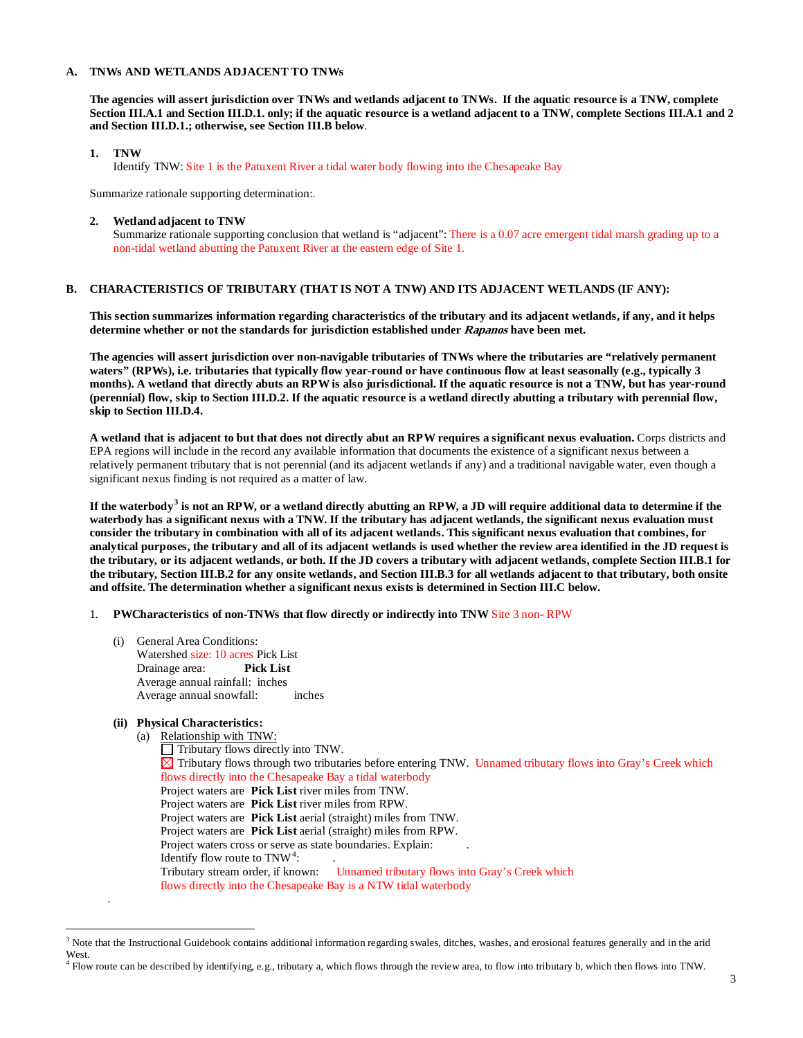### **A. TNWs AND WETLANDS ADJACENT TO TNWs**

**The agencies will assert jurisdiction over TNWs and wetlands adjacent to TNWs. If the aquatic resource is a TNW, complete Section III.A.1 and Section III.D.1. only; if the aquatic resource is a wetland adjacent to a TNW, complete Sections III.A.1 and 2 and Section III.D.1.; otherwise, see Section III.B below**.

### **1. TNW**

Identify TNW: Site 1 is the Patuxent River a tidal water body flowing into the Chesapeake Bay

Summarize rationale supporting determination:.

**2. Wetland adjacent to TNW** 

Summarize rationale supporting conclusion that wetland is "adjacent": There is a 0.07 acre emergent tidal marsh grading up to a non-tidal wetland abutting the Patuxent River at the eastern edge of Site 1.

# **B. CHARACTERISTICS OF TRIBUTARY (THAT IS NOT A TNW) AND ITS ADJACENT WETLANDS (IF ANY):**

**This section summarizes information regarding characteristics of the tributary and its adjacent wetlands, if any, and it helps determine whether or not the standards for jurisdiction established under Rapanos have been met.** 

**The agencies will assert jurisdiction over non-navigable tributaries of TNWs where the tributaries are "relatively permanent waters" (RPWs), i.e. tributaries that typically flow year-round or have continuous flow at least seasonally (e.g., typically 3 months). A wetland that directly abuts an RPW is also jurisdictional. If the aquatic resource is not a TNW, but has year-round (perennial) flow, skip to Section III.D.2. If the aquatic resource is a wetland directly abutting a tributary with perennial flow, skip to Section III.D.4.** 

**A wetland that is adjacent to but that does not directly abut an RPW requires a significant nexus evaluation.** Corps districts and EPA regions will include in the record any available information that documents the existence of a significant nexus between a relatively permanent tributary that is not perennial (and its adjacent wetlands if any) and a traditional navigable water, even though a significant nexus finding is not required as a matter of law.

**If the waterbody[3](#page-2-0) is not an RPW, or a wetland directly abutting an RPW, a JD will require additional data to determine if the waterbody has a significant nexus with a TNW. If the tributary has adjacent wetlands, the significant nexus evaluation must consider the tributary in combination with all of its adjacent wetlands. This significant nexus evaluation that combines, for analytical purposes, the tributary and all of its adjacent wetlands is used whether the review area identified in the JD request is the tributary, or its adjacent wetlands, or both. If the JD covers a tributary with adjacent wetlands, complete Section III.B.1 for the tributary, Section III.B.2 for any onsite wetlands, and Section III.B.3 for all wetlands adjacent to that tributary, both onsite and offsite. The determination whether a significant nexus exists is determined in Section III.C below.**

- 1. **PWCharacteristics of non-TNWs that flow directly or indirectly into TNW** Site 3 non- RPW
	- (i) General Area Conditions: Watershed size: 10 acres Pick List Drainage area: **Pick List** Average annual rainfall: inches Average annual snowfall: inches

# **(ii) Physical Characteristics:**

.

(a) Relationship with TNW:

 $\Box$  Tributary flows directly into TNW. Tributary flows through two tributaries before entering TNW.Unnamed tributary flows into Gray's Creek which flows directly into the Chesapeake Bay a tidal waterbody Project waters are **Pick List** river miles from TNW. Project waters are **Pick List** river miles from RPW. Project waters are **Pick List** aerial (straight) miles from TNW. Project waters are **Pick List** aerial (straight) miles from RPW. Project waters cross or serve as state boundaries. Explain: Identify flow route to  $TNW^4$  $TNW^4$ :  $\qquad \qquad$ . Tributary stream order, if known: Unnamed tributary flows into Gray's Creek which flows directly into the Chesapeake Bay is a NTW tidal waterbody

<span id="page-2-0"></span><sup>&</sup>lt;sup>3</sup> Note that the Instructional Guidebook contains additional information regarding swales, ditches, washes, and erosional features generally and in the arid West.

<span id="page-2-1"></span><sup>4</sup> Flow route can be described by identifying, e.g., tributary a, which flows through the review area, to flow into tributary b, which then flows into TNW.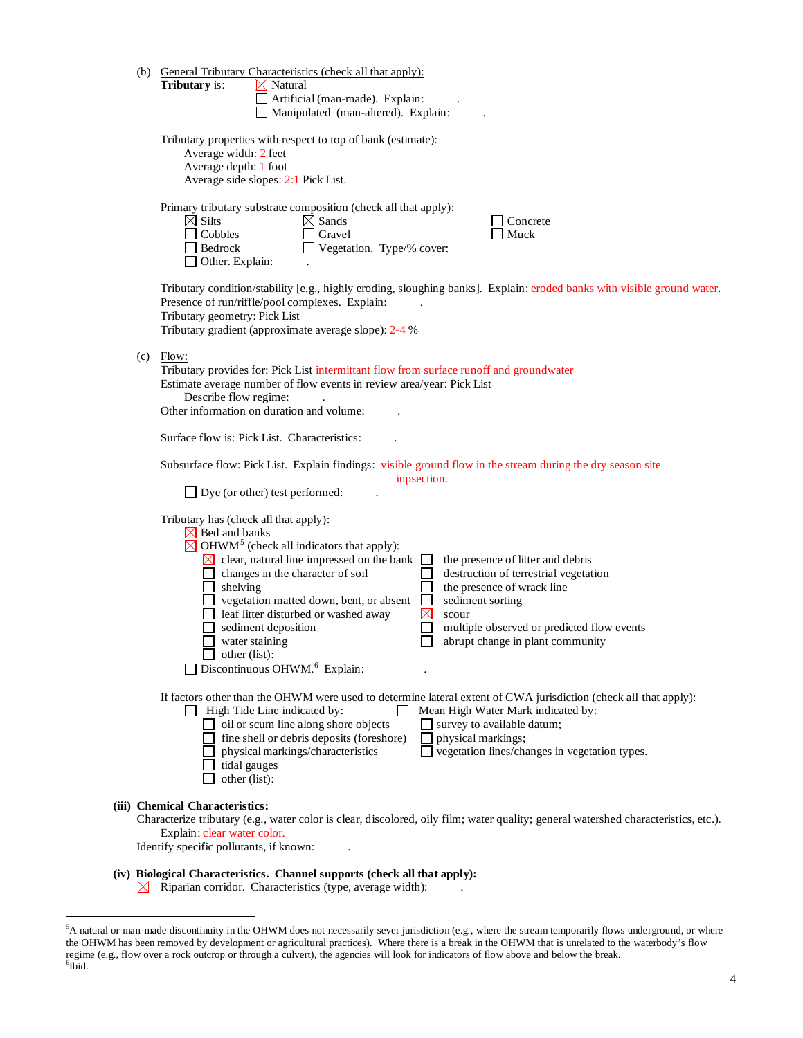|                                                                                                                                                       | (b) General Tributary Characteristics (check all that apply):<br>Tributary is:<br>$\boxtimes$ Natural<br>Artificial (man-made). Explain:<br>Manipulated (man-altered). Explain:                                                                                                                                                                                                                                                                                                                                                                                                                                                                                                                   |  |  |  |  |  |
|-------------------------------------------------------------------------------------------------------------------------------------------------------|---------------------------------------------------------------------------------------------------------------------------------------------------------------------------------------------------------------------------------------------------------------------------------------------------------------------------------------------------------------------------------------------------------------------------------------------------------------------------------------------------------------------------------------------------------------------------------------------------------------------------------------------------------------------------------------------------|--|--|--|--|--|
| Tributary properties with respect to top of bank (estimate):<br>Average width: 2 feet<br>Average depth: 1 foot<br>Average side slopes: 2:1 Pick List. |                                                                                                                                                                                                                                                                                                                                                                                                                                                                                                                                                                                                                                                                                                   |  |  |  |  |  |
|                                                                                                                                                       | Primary tributary substrate composition (check all that apply):<br>$\boxtimes$ Silts<br>$\boxtimes$ Sands<br>Concrete<br>$\sqcap$ Cobbles<br>Gravel<br>Muck<br>Bedrock<br>Vegetation. Type/% cover:<br>Other. Explain:                                                                                                                                                                                                                                                                                                                                                                                                                                                                            |  |  |  |  |  |
|                                                                                                                                                       | Tributary condition/stability [e.g., highly eroding, sloughing banks]. Explain: eroded banks with visible ground water.<br>Presence of run/riffle/pool complexes. Explain:<br>Tributary geometry: Pick List<br>Tributary gradient (approximate average slope): 2-4 %                                                                                                                                                                                                                                                                                                                                                                                                                              |  |  |  |  |  |
| (c)                                                                                                                                                   | Flow:<br>Tributary provides for: Pick List intermittant flow from surface runoff and groundwater<br>Estimate average number of flow events in review area/year: Pick List<br>Describe flow regime:<br>Other information on duration and volume:                                                                                                                                                                                                                                                                                                                                                                                                                                                   |  |  |  |  |  |
|                                                                                                                                                       | Surface flow is: Pick List. Characteristics:                                                                                                                                                                                                                                                                                                                                                                                                                                                                                                                                                                                                                                                      |  |  |  |  |  |
|                                                                                                                                                       | Subsurface flow: Pick List. Explain findings: visible ground flow in the stream during the dry season site<br>inpsection.<br>$\Box$ Dye (or other) test performed:                                                                                                                                                                                                                                                                                                                                                                                                                                                                                                                                |  |  |  |  |  |
|                                                                                                                                                       | Tributary has (check all that apply):<br>$\boxtimes$ Bed and banks<br>$\boxtimes$ OHWM <sup>5</sup> (check all indicators that apply):<br>$\boxtimes$ clear, natural line impressed on the bank<br>the presence of litter and debris<br>$\Box$ changes in the character of soil<br>destruction of terrestrial vegetation<br>shelving<br>the presence of wrack line<br>vegetation matted down, bent, or absent<br>sediment sorting<br>$\boxtimes$<br>leaf litter disturbed or washed away<br>scour<br>sediment deposition<br>multiple observed or predicted flow events<br>water staining<br>abrupt change in plant community<br>$\Box$ other (list):<br>Discontinuous OHWM. <sup>6</sup> Explain: |  |  |  |  |  |
|                                                                                                                                                       | If factors other than the OHWM were used to determine lateral extent of CWA jurisdiction (check all that apply):<br>High Tide Line indicated by:<br>Mean High Water Mark indicated by:<br>oil or scum line along shore objects<br>survey to available datum;<br>fine shell or debris deposits (foreshore)<br>physical markings;<br>physical markings/characteristics<br>vegetation lines/changes in vegetation types.<br>tidal gauges<br>other (list):                                                                                                                                                                                                                                            |  |  |  |  |  |
|                                                                                                                                                       | (iii) Chemical Characteristics:<br>Characterize tributary (e.g., water color is clear, discolored, oily film; water quality; general watershed characteristics, etc.).<br>Explain: clear water color.<br>Identify specific pollutants, if known:                                                                                                                                                                                                                                                                                                                                                                                                                                                  |  |  |  |  |  |

# **(iv) Biological Characteristics. Channel supports (check all that apply):**

 $\boxtimes$  Riparian corridor. Characteristics (type, average width):

<span id="page-3-1"></span><span id="page-3-0"></span> <sup>5</sup> A natural or man-made discontinuity in the OHWM does not necessarily sever jurisdiction (e.g., where the stream temporarily flows underground, or where the OHWM has been removed by development or agricultural practices). Where there is a break in the OHWM that is unrelated to the waterbody's flow regime (e.g., flow over a rock outcrop or through a culvert), the agencies will look for indicators of flow above and below the break. <sup>6</sup>  $6\degree$ ibid.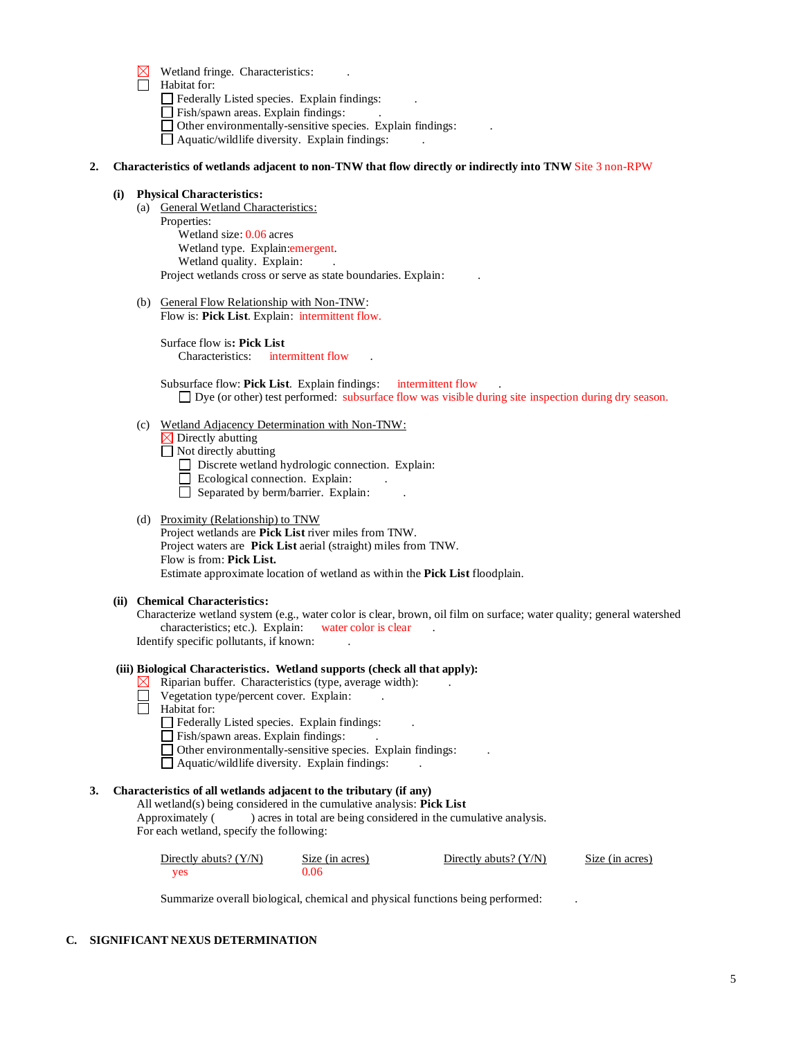- $\boxtimes$  Wetland fringe. Characteristics:
- Habitat for:
	- $\hfill\Box$  <br> Federally Listed species. Explain findings:
	- Fish/spawn areas. Explain findings:
	- Other environmentally-sensitive species. Explain findings: .
		- $\Box$  Aquatic/wildlife diversity. Explain findings:

#### **2. Characteristics of wetlands adjacent to non-TNW that flow directly or indirectly into TNW** Site 3 non-RPW

#### **(i) Physical Characteristics:**

- (a) General Wetland Characteristics: Properties: Wetland size: 0.06 acres Wetland type. Explain:emergent. Wetland quality. Explain: Project wetlands cross or serve as state boundaries. Explain: .
- (b) General Flow Relationship with Non-TNW: Flow is: **Pick List**. Explain: intermittent flow.

Surface flow is**: Pick List**  Characteristics: intermittent flow

Subsurface flow: **Pick List**. Explain findings: intermittent flow Dye (or other) test performed: subsurface flow was visible during site inspection during dry season.

(c) Wetland Adjacency Determination with Non-TNW:

Directly abutting ⊠

Not directly abutting

Discrete wetland hydrologic connection. Explain:

- $\Box$  Ecological connection. Explain:
- $\Box$  Separated by berm/barrier. Explain:

## (d) Proximity (Relationship) to TNW

Project wetlands are **Pick List** river miles from TNW. Project waters are **Pick List** aerial (straight) miles from TNW. Flow is from: **Pick List.** Estimate approximate location of wetland as within the **Pick List** floodplain.

#### **(ii) Chemical Characteristics:**

Characterize wetland system (e.g., water color is clear, brown, oil film on surface; water quality; general watershed characteristics; etc.). Explain: water color is clear Identify specific pollutants, if known: .

#### **(iii) Biological Characteristics. Wetland supports (check all that apply):**

- Riparian buffer. Characteristics (type, average width): . ⊠⊦
	- Vegetation type/percent cover. Explain: .
- $\Box$  Habitat for:
	- $\Box$  Federally Listed species. Explain findings:
	- Fish/spawn areas. Explain findings:
	- Other environmentally-sensitive species. Explain findings: .
	- $\Box$  Aquatic/wildlife diversity. Explain findings:

# **3. Characteristics of all wetlands adjacent to the tributary (if any)**

All wetland(s) being considered in the cumulative analysis: **Pick List**

Approximately ( ) acres in total are being considered in the cumulative analysis. For each wetland, specify the following:

| Directly abuts? (Y/N) | Size (in acres) | Directly abuts? $(Y/N)$ | Size (in acres) |
|-----------------------|-----------------|-------------------------|-----------------|
| yes                   | 2.06            |                         |                 |

Summarize overall biological, chemical and physical functions being performed: .

# **C. SIGNIFICANT NEXUS DETERMINATION**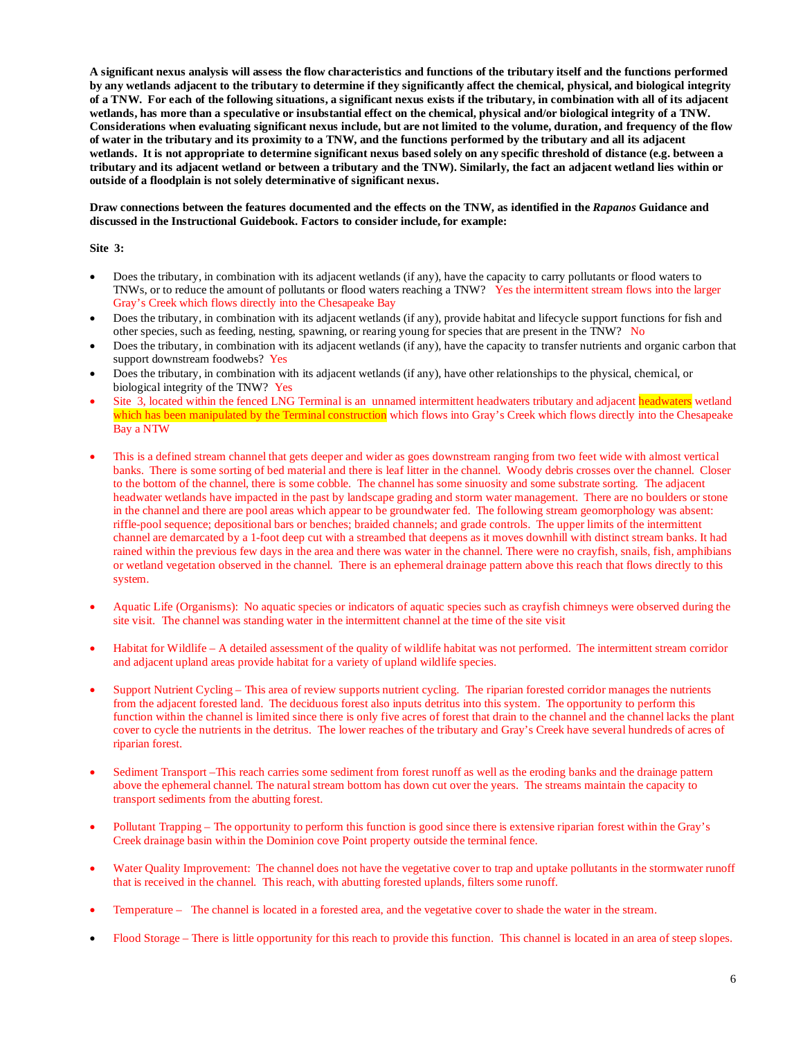**A significant nexus analysis will assess the flow characteristics and functions of the tributary itself and the functions performed by any wetlands adjacent to the tributary to determine if they significantly affect the chemical, physical, and biological integrity of a TNW. For each of the following situations, a significant nexus exists if the tributary, in combination with all of its adjacent wetlands, has more than a speculative or insubstantial effect on the chemical, physical and/or biological integrity of a TNW. Considerations when evaluating significant nexus include, but are not limited to the volume, duration, and frequency of the flow of water in the tributary and its proximity to a TNW, and the functions performed by the tributary and all its adjacent wetlands. It is not appropriate to determine significant nexus based solely on any specific threshold of distance (e.g. between a tributary and its adjacent wetland or between a tributary and the TNW). Similarly, the fact an adjacent wetland lies within or outside of a floodplain is not solely determinative of significant nexus.** 

**Draw connections between the features documented and the effects on the TNW, as identified in the** *Rapanos* **Guidance and discussed in the Instructional Guidebook. Factors to consider include, for example:**

**Site 3:**

- Does the tributary, in combination with its adjacent wetlands (if any), have the capacity to carry pollutants or flood waters to TNWs, or to reduce the amount of pollutants or flood waters reaching a TNW? Yes the intermittent stream flows into the larger Gray's Creek which flows directly into the Chesapeake Bay
- Does the tributary, in combination with its adjacent wetlands (if any), provide habitat and lifecycle support functions for fish and other species, such as feeding, nesting, spawning, or rearing young for species that are present in the TNW?No
- Does the tributary, in combination with its adjacent wetlands (if any), have the capacity to transfer nutrients and organic carbon that support downstream foodwebs? Yes
- Does the tributary, in combination with its adjacent wetlands (if any), have other relationships to the physical, chemical, or biological integrity of the TNW?Yes
- Site 3, located within the fenced LNG Terminal is an unnamed intermittent headwaters tributary and adjacent headwaters wetland which has been manipulated by the Terminal construction which flows into Gray's Creek which flows directly into the Chesapeake Bay a NTW
- This is a defined stream channel that gets deeper and wider as goes downstream ranging from two feet wide with almost vertical banks. There is some sorting of bed material and there is leaf litter in the channel. Woody debris crosses over the channel. Closer to the bottom of the channel, there is some cobble. The channel has some sinuosity and some substrate sorting. The adjacent headwater wetlands have impacted in the past by landscape grading and storm water management. There are no boulders or stone in the channel and there are pool areas which appear to be groundwater fed. The following stream geomorphology was absent: riffle-pool sequence; depositional bars or benches; braided channels; and grade controls. The upper limits of the intermittent channel are demarcated by a 1-foot deep cut with a streambed that deepens as it moves downhill with distinct stream banks. It had rained within the previous few days in the area and there was water in the channel. There were no crayfish, snails, fish, amphibians or wetland vegetation observed in the channel. There is an ephemeral drainage pattern above this reach that flows directly to this system.
- Aquatic Life (Organisms): No aquatic species or indicators of aquatic species such as crayfish chimneys were observed during the site visit. The channel was standing water in the intermittent channel at the time of the site visit
- Habitat for Wildlife A detailed assessment of the quality of wildlife habitat was not performed. The intermittent stream corridor and adjacent upland areas provide habitat for a variety of upland wildlife species.
- Support Nutrient Cycling This area of review supports nutrient cycling. The riparian forested corridor manages the nutrients from the adjacent forested land. The deciduous forest also inputs detritus into this system. The opportunity to perform this function within the channel is limited since there is only five acres of forest that drain to the channel and the channel lacks the plant cover to cycle the nutrients in the detritus. The lower reaches of the tributary and Gray's Creek have several hundreds of acres of riparian forest.
- Sediment Transport –This reach carries some sediment from forest runoff as well as the eroding banks and the drainage pattern above the ephemeral channel. The natural stream bottom has down cut over the years. The streams maintain the capacity to transport sediments from the abutting forest.
- Pollutant Trapping The opportunity to perform this function is good since there is extensive riparian forest within the Gray's Creek drainage basin within the Dominion cove Point property outside the terminal fence.
- Water Quality Improvement: The channel does not have the vegetative cover to trap and uptake pollutants in the stormwater runoff that is received in the channel. This reach, with abutting forested uplands, filters some runoff.
- Temperature The channel is located in a forested area, and the vegetative cover to shade the water in the stream.
- Flood Storage There is little opportunity for this reach to provide this function. This channel is located in an area of steep slopes.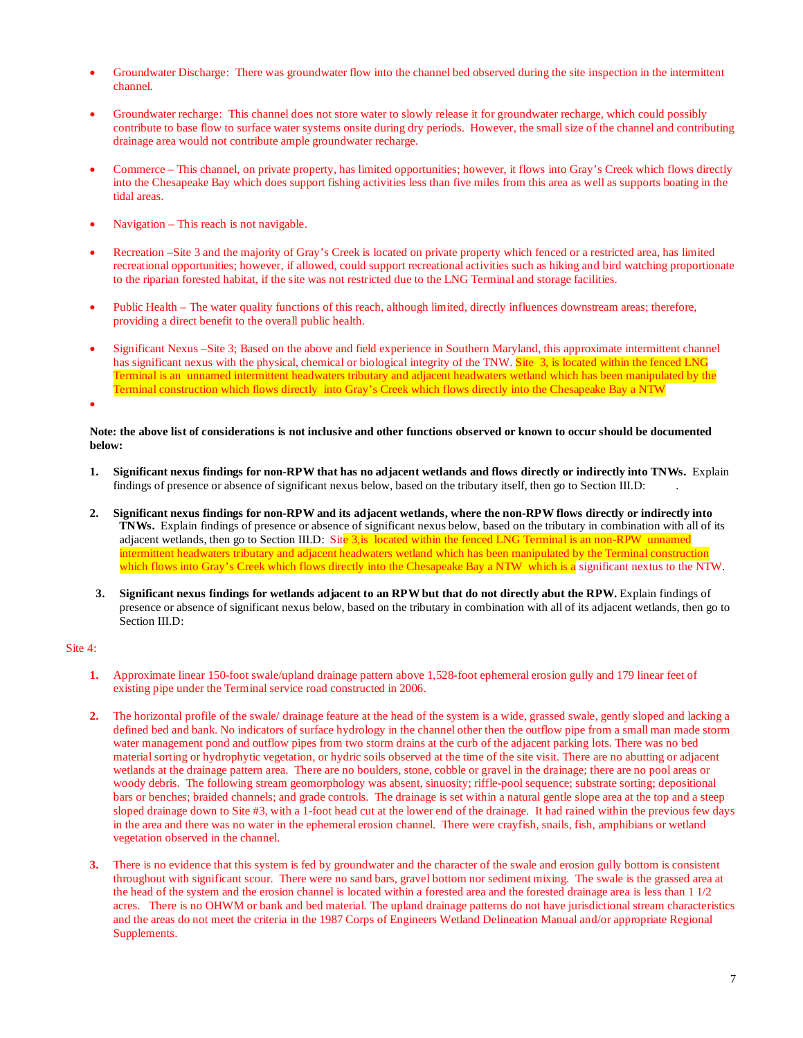- Groundwater Discharge: There was groundwater flow into the channel bed observed during the site inspection in the intermittent channel.
- Groundwater recharge: This channel does not store water to slowly release it for groundwater recharge, which could possibly contribute to base flow to surface water systems onsite during dry periods. However, the small size of the channel and contributing drainage area would not contribute ample groundwater recharge.
- Commerce This channel, on private property, has limited opportunities; however, it flows into Gray's Creek which flows directly into the Chesapeake Bay which does support fishing activities less than five miles from this area as well as supports boating in the tidal areas.
- Navigation This reach is not navigable.
- Recreation –Site 3 and the majority of Gray's Creek is located on private property which fenced or a restricted area, has limited recreational opportunities; however, if allowed, could support recreational activities such as hiking and bird watching proportionate to the riparian forested habitat, if the site was not restricted due to the LNG Terminal and storage facilities.
- Public Health The water quality functions of this reach, although limited, directly influences downstream areas; therefore, providing a direct benefit to the overall public health.
- Significant Nexus –Site 3; Based on the above and field experience in Southern Maryland, this approximate intermittent channel has significant nexus with the physical, chemical or biological integrity of the TNW. Site 3, is located within the fenced LNG Terminal is an unnamed intermittent headwaters tributary and adjacent headwaters wetland which has been manipulated by the Terminal construction which flows directly into Gray's Creek which flows directly into the Chesapeake Bay a NTW

•

**Note: the above list of considerations is not inclusive and other functions observed or known to occur should be documented below:**

- **1. Significant nexus findings for non-RPW that has no adjacent wetlands and flows directly or indirectly into TNWs.** Explain findings of presence or absence of significant nexus below, based on the tributary itself, then go to Section III.D: .
- **2. Significant nexus findings for non-RPW and its adjacent wetlands, where the non-RPW flows directly or indirectly into TNWs.** Explain findings of presence or absence of significant nexus below, based on the tributary in combination with all of its adjacent wetlands, then go to Section III.D: Site  $3$ , is located within the fenced LNG Terminal is an non-RPW unnamed intermittent headwaters tributary and adjacent headwaters wetland which has been manipulated by the Terminal construction which flows into Gray's Creek which flows directly into the Chesapeake Bay a NTW which is a significant nextus to the NTW.
- **3. Significant nexus findings for wetlands adjacent to an RPW but that do not directly abut the RPW.** Explain findings of presence or absence of significant nexus below, based on the tributary in combination with all of its adjacent wetlands, then go to Section III.D:

#### Site 4:

- **1.** Approximate linear 150-foot swale/upland drainage pattern above 1,528-foot ephemeral erosion gully and 179 linear feet of existing pipe under the Terminal service road constructed in 2006.
- **2.** The horizontal profile of the swale/ drainage feature at the head of the system is a wide, grassed swale, gently sloped and lacking a defined bed and bank. No indicators of surface hydrology in the channel other then the outflow pipe from a small man made storm water management pond and outflow pipes from two storm drains at the curb of the adjacent parking lots. There was no bed material sorting or hydrophytic vegetation, or hydric soils observed at the time of the site visit. There are no abutting or adjacent wetlands at the drainage pattern area. There are no boulders, stone, cobble or gravel in the drainage; there are no pool areas or woody debris. The following stream geomorphology was absent, sinuosity; riffle-pool sequence; substrate sorting; depositional bars or benches; braided channels; and grade controls. The drainage is set within a natural gentle slope area at the top and a steep sloped drainage down to Site #3, with a 1-foot head cut at the lower end of the drainage. It had rained within the previous few days in the area and there was no water in the ephemeral erosion channel. There were crayfish, snails, fish, amphibians or wetland vegetation observed in the channel.
- **3.** There is no evidence that this system is fed by groundwater and the character of the swale and erosion gully bottom is consistent throughout with significant scour. There were no sand bars, gravel bottom nor sediment mixing. The swale is the grassed area at the head of the system and the erosion channel is located within a forested area and the forested drainage area is less than 1 1/2 acres. There is no OHWM or bank and bed material. The upland drainage patterns do not have jurisdictional stream characteristics and the areas do not meet the criteria in the 1987 Corps of Engineers Wetland Delineation Manual and/or appropriate Regional Supplements.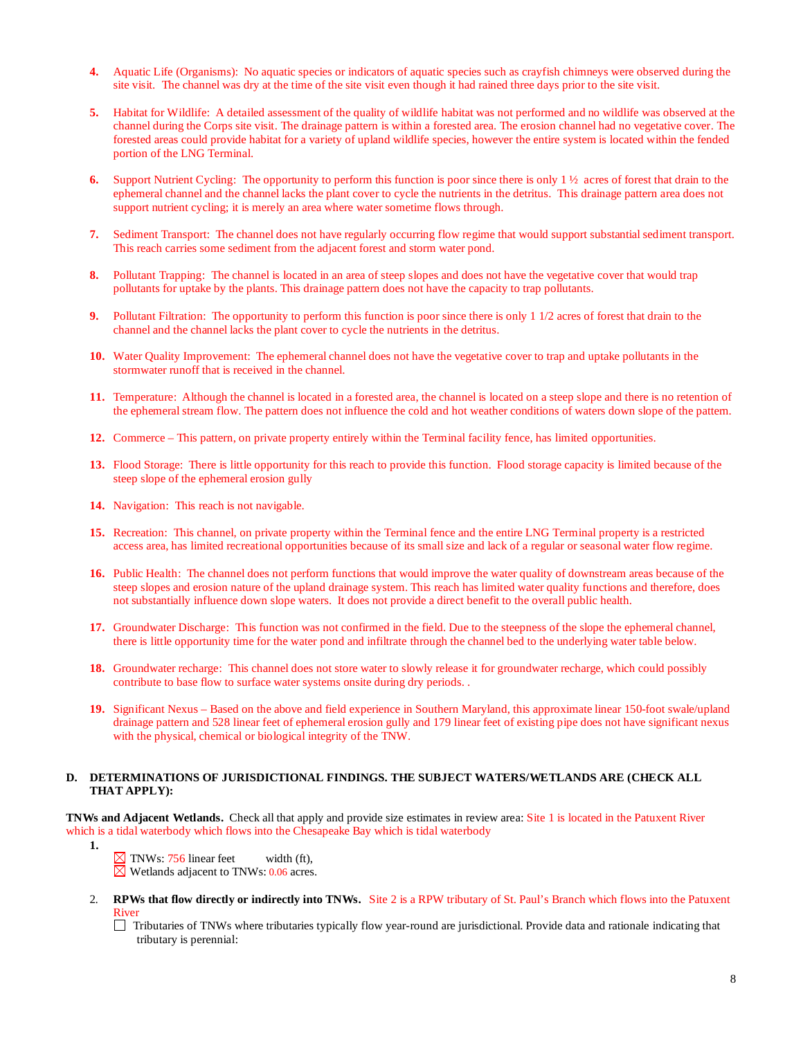- **4.** Aquatic Life (Organisms): No aquatic species or indicators of aquatic species such as crayfish chimneys were observed during the site visit. The channel was dry at the time of the site visit even though it had rained three days prior to the site visit.
- **5.** Habitat for Wildlife: A detailed assessment of the quality of wildlife habitat was not performed and no wildlife was observed at the channel during the Corps site visit. The drainage pattern is within a forested area. The erosion channel had no vegetative cover. The forested areas could provide habitat for a variety of upland wildlife species, however the entire system is located within the fended portion of the LNG Terminal.
- **6.** Support Nutrient Cycling: The opportunity to perform this function is poor since there is only 1 ½ acres of forest that drain to the ephemeral channel and the channel lacks the plant cover to cycle the nutrients in the detritus. This drainage pattern area does not support nutrient cycling; it is merely an area where water sometime flows through.
- **7.** Sediment Transport: The channel does not have regularly occurring flow regime that would support substantial sediment transport. This reach carries some sediment from the adjacent forest and storm water pond.
- **8.** Pollutant Trapping: The channel is located in an area of steep slopes and does not have the vegetative cover that would trap pollutants for uptake by the plants. This drainage pattern does not have the capacity to trap pollutants.
- **9.** Pollutant Filtration: The opportunity to perform this function is poor since there is only 1 1/2 acres of forest that drain to the channel and the channel lacks the plant cover to cycle the nutrients in the detritus.
- **10.** Water Quality Improvement: The ephemeral channel does not have the vegetative cover to trap and uptake pollutants in the stormwater runoff that is received in the channel.
- **11.** Temperature: Although the channel is located in a forested area, the channel is located on a steep slope and there is no retention of the ephemeral stream flow. The pattern does not influence the cold and hot weather conditions of waters down slope of the pattern.
- **12.** Commerce This pattern, on private property entirely within the Terminal facility fence, has limited opportunities.
- **13.** Flood Storage: There is little opportunity for this reach to provide this function. Flood storage capacity is limited because of the steep slope of the ephemeral erosion gully
- **14.** Navigation: This reach is not navigable.
- **15.** Recreation: This channel, on private property within the Terminal fence and the entire LNG Terminal property is a restricted access area, has limited recreational opportunities because of its small size and lack of a regular or seasonal water flow regime.
- **16.** Public Health: The channel does not perform functions that would improve the water quality of downstream areas because of the steep slopes and erosion nature of the upland drainage system. This reach has limited water quality functions and therefore, does not substantially influence down slope waters. It does not provide a direct benefit to the overall public health.
- **17.** Groundwater Discharge: This function was not confirmed in the field. Due to the steepness of the slope the ephemeral channel, there is little opportunity time for the water pond and infiltrate through the channel bed to the underlying water table below.
- **18.** Groundwater recharge: This channel does not store water to slowly release it for groundwater recharge, which could possibly contribute to base flow to surface water systems onsite during dry periods. .
- **19.** Significant Nexus Based on the above and field experience in Southern Maryland, this approximate linear 150-foot swale/upland drainage pattern and 528 linear feet of ephemeral erosion gully and 179 linear feet of existing pipe does not have significant nexus with the physical, chemical or biological integrity of the TNW.

# **D. DETERMINATIONS OF JURISDICTIONAL FINDINGS. THE SUBJECT WATERS/WETLANDS ARE (CHECK ALL THAT APPLY):**

**TNWs and Adjacent Wetlands.** Check all that apply and provide size estimates in review area: Site 1 is located in the Patuxent River which is a tidal waterbody which flows into the Chesapeake Bay which is tidal waterbody

- **1.**
- $\times$  TNWs: 756 linear feet width (ft),  $\overline{\boxtimes}$  Wetlands adjacent to TNWs: 0.06 acres.
- 2. **RPWs that flow directly or indirectly into TNWs.** Site 2 is a RPW tributary of St. Paul's Branch which flows into the Patuxent River
	- Tributaries of TNWs where tributaries typically flow year-round are jurisdictional. Provide data and rationale indicating that tributary is perennial: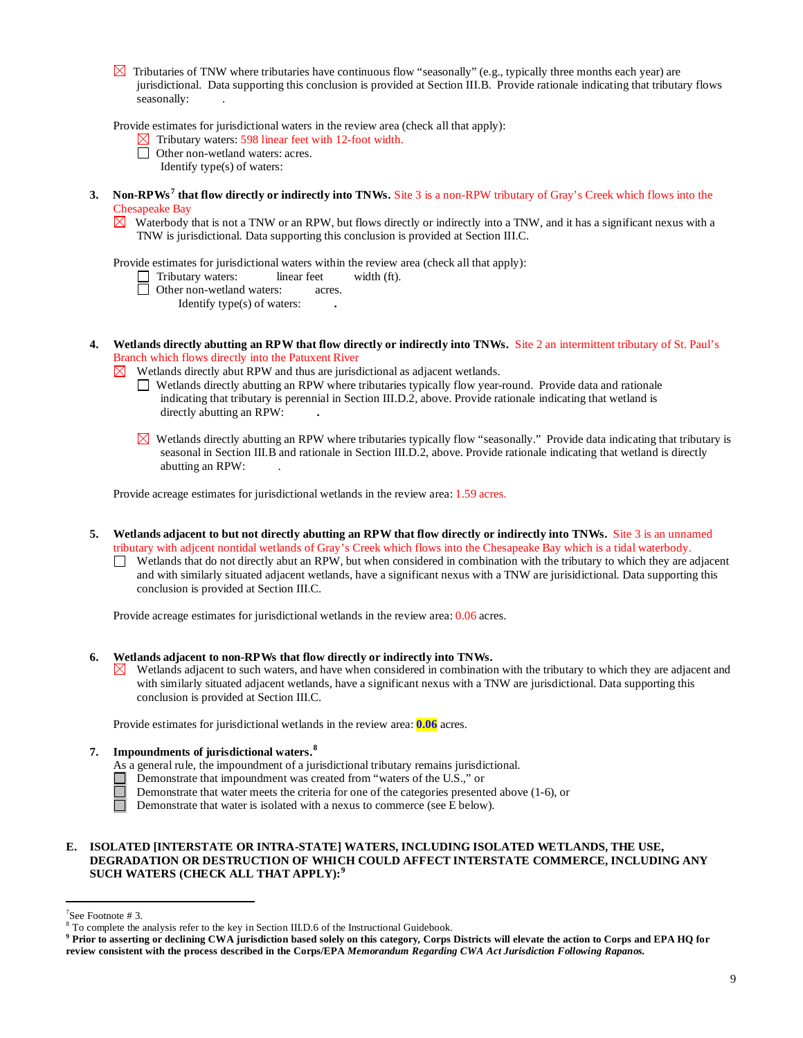$\boxtimes$  Tributaries of TNW where tributaries have continuous flow "seasonally" (e.g., typically three months each year) are jurisdictional. Data supporting this conclusion is provided at Section III.B. Provide rationale indicating that tributary flows seasonally: .

Provide estimates for jurisdictional waters in the review area (check all that apply):

- $\boxtimes$  Tributary waters: 598 linear feet with 12-foot width.
- □ Other non-wetland waters: acres.
	- Identify type(s) of waters:
- **3. Non-RPWs [7](#page-8-0) that flow directly or indirectly into TNWs.** Site 3 is a non-RPW tributary of Gray's Creek which flows into the Chesapeake Bay
	- $\boxtimes$  Waterbody that is not a TNW or an RPW, but flows directly or indirectly into a TNW, and it has a significant nexus with a TNW is jurisdictional. Data supporting this conclusion is provided at Section III.C.

Provide estimates for jurisdictional waters within the review area (check all that apply):

- Tributary waters: linear feet width (ft).
- □ Other non-wetland waters: acres.
	- Identify type(s) of waters: **.**
- **4. Wetlands directly abutting an RPW that flow directly or indirectly into TNWs.** Site 2 an intermittent tributary of St. Paul's Branch which flows directly into the Patuxent River
	- $\boxtimes$  Wetlands directly abut RPW and thus are jurisdictional as adjacent wetlands.
		- Wetlands directly abutting an RPW where tributaries typically flow year-round. Provide data and rationale indicating that tributary is perennial in Section III.D.2, above. Provide rationale indicating that wetland is directly abutting an RPW: **.**
		- $\boxtimes$  Wetlands directly abutting an RPW where tributaries typically flow "seasonally." Provide data indicating that tributary is seasonal in Section III.B and rationale in Section III.D.2, above. Provide rationale indicating that wetland is directly abutting an RPW: .

Provide acreage estimates for jurisdictional wetlands in the review area: 1.59 acres.

- **5. Wetlands adjacent to but not directly abutting an RPW that flow directly or indirectly into TNWs.** Site 3 is an unnamed tributary with adjcent nontidal wetlands of Gray's Creek which flows into the Chesapeake Bay which is a tidal waterbody.
	- Wetlands that do not directly abut an RPW, but when considered in combination with the tributary to which they are adjacent and with similarly situated adjacent wetlands, have a significant nexus with a TNW are jurisidictional. Data supporting this conclusion is provided at Section III.C.

Provide acreage estimates for jurisdictional wetlands in the review area: 0.06 acres.

- **6. Wetlands adjacent to non-RPWs that flow directly or indirectly into TNWs.** 
	- Wetlands adjacent to such waters, and have when considered in combination with the tributary to which they are adjacent and M. with similarly situated adjacent wetlands, have a significant nexus with a TNW are jurisdictional. Data supporting this conclusion is provided at Section III.C.

Provide estimates for jurisdictional wetlands in the review area: **0.06** acres.

- **7. Impoundments of jurisdictional waters. [8](#page-8-1)**
	- As a general rule, the impoundment of a jurisdictional tributary remains jurisdictional.
	- Demonstrate that impoundment was created from "waters of the U.S.," or
		- Demonstrate that water meets the criteria for one of the categories presented above (1-6), or
	- П Demonstrate that water is isolated with a nexus to commerce (see E below).

## **E. ISOLATED [INTERSTATE OR INTRA-STATE] WATERS, INCLUDING ISOLATED WETLANDS, THE USE, DEGRADATION OR DESTRUCTION OF WHICH COULD AFFECT INTERSTATE COMMERCE, INCLUDING ANY SUCH WATERS (CHECK ALL THAT APPLY):[9](#page-8-2)**

<sup>-&</sup>lt;br>7

<span id="page-8-0"></span><sup>&</sup>lt;sup>7</sup>See Footnote # 3.<br><sup>8</sup> To complete the analysis refer to the key in Section III.D.6 of the Instructional Guidebook.

<span id="page-8-2"></span><span id="page-8-1"></span>**<sup>9</sup> Prior to asserting or declining CWA jurisdiction based solely on this category, Corps Districts will elevate the action to Corps and EPA HQ for review consistent with the process described in the Corps/EPA** *Memorandum Regarding CWA Act Jurisdiction Following Rapanos.*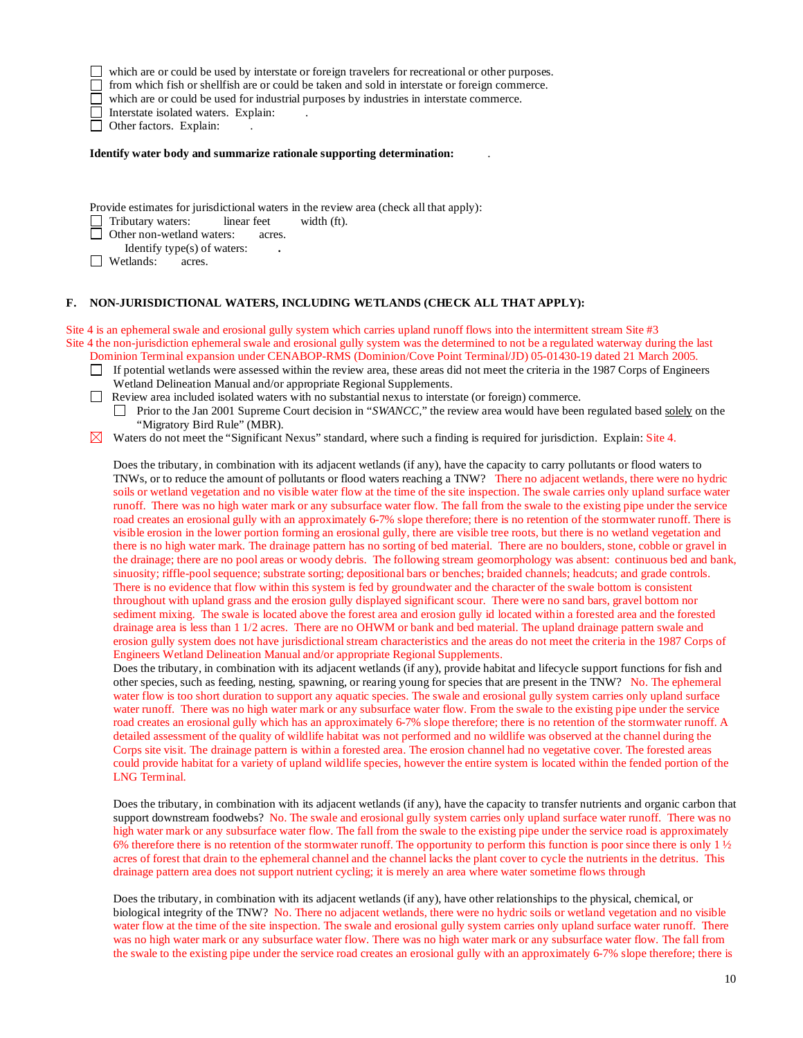which are or could be used by interstate or foreign travelers for recreational or other purposes.

 $\Box$  from which fish or shellfish are or could be taken and sold in interstate or foreign commerce.

which are or could be used for industrial purposes by industries in interstate commerce.

Interstate isolated waters.Explain: .

□ Other factors. Explain:

**Identify water body and summarize rationale supporting determination:** .

Provide estimates for jurisdictional waters in the review area (check all that apply):

Tributary waters: linear feet width (ft).

**Other non-wetland waters: acres.** 

Identify type(s) of waters:<br> *exiliands: acres.* 

**d Wetlands:** 

### **F. NON-JURISDICTIONAL WATERS, INCLUDING WETLANDS (CHECK ALL THAT APPLY):**

Site 4 is an ephemeral swale and erosional gully system which carries upland runoff flows into the intermittent stream Site #3 Site 4 the non-jurisdiction ephemeral swale and erosional gully system was the determined to not be a regulated waterway during the last Dominion Terminal expansion under CENABOP-RMS (Dominion/Cove Point Terminal/JD) 05-01430-19 dated 21 March 2005.

- $\Box$  If potential wetlands were assessed within the review area, these areas did not meet the criteria in the 1987 Corps of Engineers Wetland Delineation Manual and/or appropriate Regional Supplements.
- Review area included isolated waters with no substantial nexus to interstate (or foreign) commerce.

**Prior to the Jan 2001 Supreme Court decision in "***SWANCC*," the review area would have been regulated based solely on the "Migratory Bird Rule" (MBR).

 $\boxtimes$  Waters do not meet the "Significant Nexus" standard, where such a finding is required for jurisdiction. Explain: Site 4.

Does the tributary, in combination with its adjacent wetlands (if any), have the capacity to carry pollutants or flood waters to TNWs, or to reduce the amount of pollutants or flood waters reaching a TNW? There no adjacent wetlands, there were no hydric soils or wetland vegetation and no visible water flow at the time of the site inspection. The swale carries only upland surface water runoff. There was no high water mark or any subsurface water flow. The fall from the swale to the existing pipe under the service road creates an erosional gully with an approximately 6-7% slope therefore; there is no retention of the stormwater runoff. There is visible erosion in the lower portion forming an erosional gully, there are visible tree roots, but there is no wetland vegetation and there is no high water mark. The drainage pattern has no sorting of bed material. There are no boulders, stone, cobble or gravel in the drainage; there are no pool areas or woody debris. The following stream geomorphology was absent: continuous bed and bank, sinuosity; riffle-pool sequence; substrate sorting; depositional bars or benches; braided channels; headcuts; and grade controls. There is no evidence that flow within this system is fed by groundwater and the character of the swale bottom is consistent throughout with upland grass and the erosion gully displayed significant scour. There were no sand bars, gravel bottom nor sediment mixing. The swale is located above the forest area and erosion gully id located within a forested area and the forested drainage area is less than 1 1/2 acres. There are no OHWM or bank and bed material. The upland drainage pattern swale and erosion gully system does not have jurisdictional stream characteristics and the areas do not meet the criteria in the 1987 Corps of Engineers Wetland Delineation Manual and/or appropriate Regional Supplements.

Does the tributary, in combination with its adjacent wetlands (if any), provide habitat and lifecycle support functions for fish and other species, such as feeding, nesting, spawning, or rearing young for species that are present in the TNW?No. The ephemeral water flow is too short duration to support any aquatic species. The swale and erosional gully system carries only upland surface water runoff. There was no high water mark or any subsurface water flow. From the swale to the existing pipe under the service road creates an erosional gully which has an approximately 6-7% slope therefore; there is no retention of the stormwater runoff. A detailed assessment of the quality of wildlife habitat was not performed and no wildlife was observed at the channel during the Corps site visit. The drainage pattern is within a forested area. The erosion channel had no vegetative cover. The forested areas could provide habitat for a variety of upland wildlife species, however the entire system is located within the fended portion of the LNG Terminal.

Does the tributary, in combination with its adjacent wetlands (if any), have the capacity to transfer nutrients and organic carbon that support downstream foodwebs? No. The swale and erosional gully system carries only upland surface water runoff. There was no high water mark or any subsurface water flow. The fall from the swale to the existing pipe under the service road is approximately 6% therefore there is no retention of the stormwater runoff. The opportunity to perform this function is poor since there is only  $1\frac{1}{2}$ acres of forest that drain to the ephemeral channel and the channel lacks the plant cover to cycle the nutrients in the detritus. This drainage pattern area does not support nutrient cycling; it is merely an area where water sometime flows through

Does the tributary, in combination with its adjacent wetlands (if any), have other relationships to the physical, chemical, or biological integrity of the TNW?No. There no adjacent wetlands, there were no hydric soils or wetland vegetation and no visible water flow at the time of the site inspection. The swale and erosional gully system carries only upland surface water runoff. There was no high water mark or any subsurface water flow. There was no high water mark or any subsurface water flow. The fall from the swale to the existing pipe under the service road creates an erosional gully with an approximately 6-7% slope therefore; there is